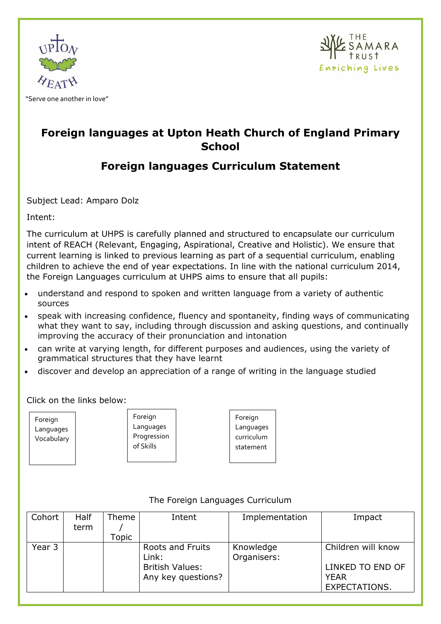



## **Foreign languages at Upton Heath Church of England Primary School**

# **Foreign languages Curriculum Statement**

Subject Lead: Amparo Dolz

Intent:

The curriculum at UHPS is carefully planned and structured to encapsulate our curriculum intent of REACH (Relevant, Engaging, Aspirational, Creative and Holistic). We ensure that current learning is linked to previous learning as part of a sequential curriculum, enabling children to achieve the end of year expectations. In line with the national curriculum 2014, the Foreign Languages curriculum at UHPS aims to ensure that all pupils:

- understand and respond to spoken and written language from a variety of authentic sources
- speak with increasing confidence, fluency and spontaneity, finding ways of communicating what they want to say, including through discussion and asking questions, and continually improving the accuracy of their pronunciation and intonation
- can write at varying length, for different purposes and audiences, using the variety of grammatical structures that they have learnt
- discover and develop an appreciation of a range of writing in the language studied

Click on the links below:

**Foreign** Languages Vocabulary

Foreign Languages Progression of Skills

Foreign Languages curriculum statement

| Cohort | <b>Half</b> | Theme | Intent                 | Implementation | Impact               |
|--------|-------------|-------|------------------------|----------------|----------------------|
|        | term        |       |                        |                |                      |
|        |             | Topic |                        |                |                      |
| Year 3 |             |       | Roots and Fruits       | Knowledge      | Children will know   |
|        |             |       | Link:                  | Organisers:    |                      |
|        |             |       | <b>British Values:</b> |                | LINKED TO END OF     |
|        |             |       | Any key questions?     |                | <b>YEAR</b>          |
|        |             |       |                        |                | <b>EXPECTATIONS.</b> |
|        |             |       |                        |                |                      |

## The Foreign Languages Curriculum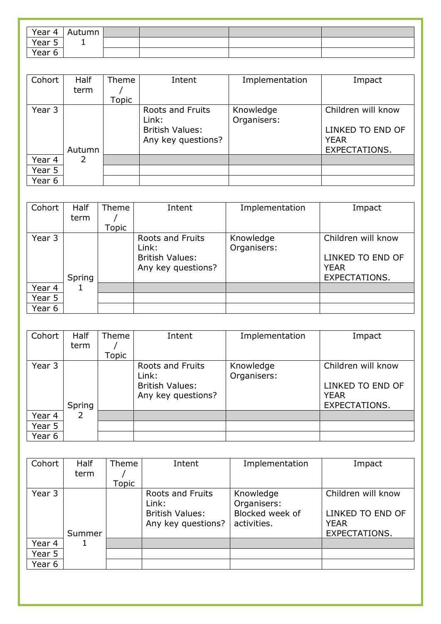| Year 4 $\parallel$ | Autumn |  |  |
|--------------------|--------|--|--|
| Year 5             | -      |  |  |
| Year 6             |        |  |  |

| Cohort | <b>Half</b><br>term | Theme<br>Topic | Intent                                                                           | Implementation           | Impact                                                                 |
|--------|---------------------|----------------|----------------------------------------------------------------------------------|--------------------------|------------------------------------------------------------------------|
| Year 3 | Autumn              |                | <b>Roots and Fruits</b><br>Link:<br><b>British Values:</b><br>Any key questions? | Knowledge<br>Organisers: | Children will know<br>LINKED TO END OF<br><b>YEAR</b><br>EXPECTATIONS. |
| Year 4 | 2                   |                |                                                                                  |                          |                                                                        |
| Year 5 |                     |                |                                                                                  |                          |                                                                        |
| Year 6 |                     |                |                                                                                  |                          |                                                                        |

| Cohort | <b>Half</b><br>term | Theme | Intent                                                                    | Implementation           | Impact                                                                 |
|--------|---------------------|-------|---------------------------------------------------------------------------|--------------------------|------------------------------------------------------------------------|
|        |                     | Topic |                                                                           |                          |                                                                        |
| Year 3 | Spring              |       | Roots and Fruits<br>Link:<br><b>British Values:</b><br>Any key questions? | Knowledge<br>Organisers: | Children will know<br>LINKED TO END OF<br><b>YEAR</b><br>EXPECTATIONS. |
| Year 4 | 1                   |       |                                                                           |                          |                                                                        |
| Year 5 |                     |       |                                                                           |                          |                                                                        |
| Year 6 |                     |       |                                                                           |                          |                                                                        |

| Cohort | <b>Half</b> | Theme | Intent                 | Implementation | Impact             |
|--------|-------------|-------|------------------------|----------------|--------------------|
|        | term        |       |                        |                |                    |
|        |             | Topic |                        |                |                    |
| Year 3 |             |       | Roots and Fruits       | Knowledge      | Children will know |
|        |             |       | Link:                  | Organisers:    |                    |
|        |             |       | <b>British Values:</b> |                | LINKED TO END OF   |
|        |             |       | Any key questions?     |                | <b>YEAR</b>        |
|        | Spring      |       |                        |                | EXPECTATIONS.      |
| Year 4 | 2           |       |                        |                |                    |
| Year 5 |             |       |                        |                |                    |
| Year 6 |             |       |                        |                |                    |

| Cohort | <b>Half</b> | Theme | Intent                                       | Implementation                 | Impact                          |
|--------|-------------|-------|----------------------------------------------|--------------------------------|---------------------------------|
|        | term        |       |                                              |                                |                                 |
|        |             | Topic |                                              |                                |                                 |
| Year 3 |             |       | Roots and Fruits<br>Link:                    | Knowledge<br>Organisers:       | Children will know              |
|        |             |       | <b>British Values:</b><br>Any key questions? | Blocked week of<br>activities. | LINKED TO END OF<br><b>YEAR</b> |
|        | Summer      |       |                                              |                                | EXPECTATIONS.                   |
| Year 4 |             |       |                                              |                                |                                 |
| Year 5 |             |       |                                              |                                |                                 |
| Year 6 |             |       |                                              |                                |                                 |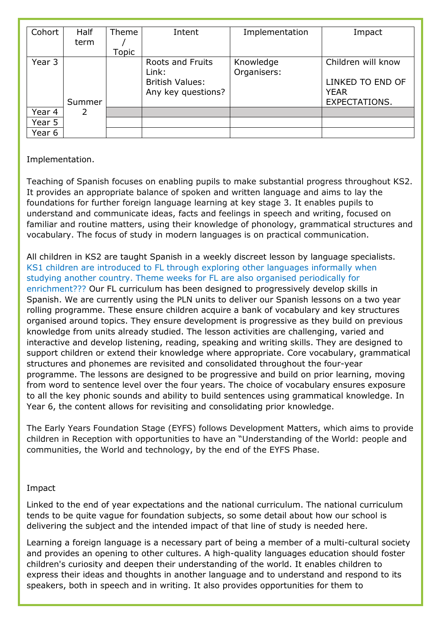| Cohort | <b>Half</b> | Theme | Intent                    | Implementation           | Impact               |
|--------|-------------|-------|---------------------------|--------------------------|----------------------|
|        | term        |       |                           |                          |                      |
|        |             | Topic |                           |                          |                      |
| Year 3 |             |       | Roots and Fruits<br>Link: | Knowledge<br>Organisers: | Children will know   |
|        |             |       | <b>British Values:</b>    |                          | LINKED TO END OF     |
|        |             |       | Any key questions?        |                          | <b>YEAR</b>          |
|        | Summer      |       |                           |                          | <b>EXPECTATIONS.</b> |
| Year 4 | 2           |       |                           |                          |                      |
| Year 5 |             |       |                           |                          |                      |
| Year 6 |             |       |                           |                          |                      |

## Implementation.

Teaching of Spanish focuses on enabling pupils to make substantial progress throughout KS2. It provides an appropriate balance of spoken and written language and aims to lay the foundations for further foreign language learning at key stage 3. It enables pupils to understand and communicate ideas, facts and feelings in speech and writing, focused on familiar and routine matters, using their knowledge of phonology, grammatical structures and vocabulary. The focus of study in modern languages is on practical communication.

All children in KS2 are taught Spanish in a weekly discreet lesson by language specialists. KS1 children are introduced to FL through exploring other languages informally when studying another country. Theme weeks for FL are also organised periodically for enrichment??? Our FL curriculum has been designed to progressively develop skills in Spanish. We are currently using the PLN units to deliver our Spanish lessons on a two year rolling programme. These ensure children acquire a bank of vocabulary and key structures organised around topics. They ensure development is progressive as they build on previous knowledge from units already studied. The lesson activities are challenging, varied and interactive and develop listening, reading, speaking and writing skills. They are designed to support children or extend their knowledge where appropriate. Core vocabulary, grammatical structures and phonemes are revisited and consolidated throughout the four-year programme. The lessons are designed to be progressive and build on prior learning, moving from word to sentence level over the four years. The choice of vocabulary ensures exposure to all the key phonic sounds and ability to build sentences using grammatical knowledge. In Year 6, the content allows for revisiting and consolidating prior knowledge.

The Early Years Foundation Stage (EYFS) follows Development Matters, which aims to provide children in Reception with opportunities to have an "Understanding of the World: people and communities, the World and technology, by the end of the EYFS Phase.

### Impact

Linked to the end of year expectations and the national curriculum. The national curriculum tends to be quite vague for foundation subjects, so some detail about how our school is delivering the subject and the intended impact of that line of study is needed here.

Learning a foreign language is a necessary part of being a member of a multi-cultural society and provides an opening to other cultures. A high-quality languages education should foster children's curiosity and deepen their understanding of the world. It enables children to express their ideas and thoughts in another language and to understand and respond to its speakers, both in speech and in writing. It also provides opportunities for them to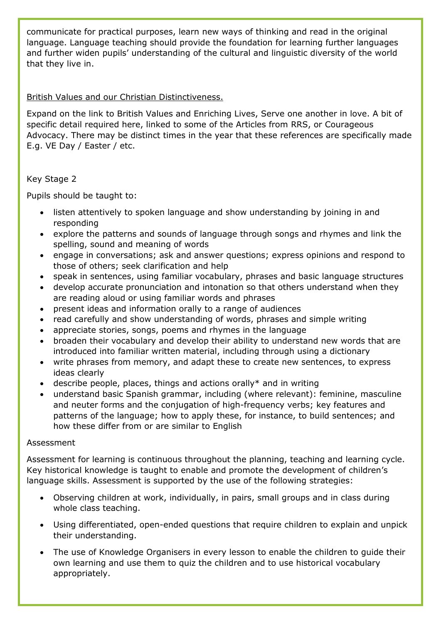communicate for practical purposes, learn new ways of thinking and read in the original language. Language teaching should provide the foundation for learning further languages and further widen pupils' understanding of the cultural and linguistic diversity of the world that they live in.

## British Values and our Christian Distinctiveness.

Expand on the link to British Values and Enriching Lives, Serve one another in love. A bit of specific detail required here, linked to some of the Articles from RRS, or Courageous Advocacy. There may be distinct times in the year that these references are specifically made E.g. VE Day / Easter / etc.

## Key Stage 2

Pupils should be taught to:

- listen attentively to spoken language and show understanding by joining in and responding
- explore the patterns and sounds of language through songs and rhymes and link the spelling, sound and meaning of words
- engage in conversations; ask and answer questions; express opinions and respond to those of others; seek clarification and help
- speak in sentences, using familiar vocabulary, phrases and basic language structures
- develop accurate pronunciation and intonation so that others understand when they are reading aloud or using familiar words and phrases
- present ideas and information orally to a range of audiences
- read carefully and show understanding of words, phrases and simple writing
- appreciate stories, songs, poems and rhymes in the language
- broaden their vocabulary and develop their ability to understand new words that are introduced into familiar written material, including through using a dictionary
- write phrases from memory, and adapt these to create new sentences, to express ideas clearly
- describe people, places, things and actions orally\* and in writing
- understand basic Spanish grammar, including (where relevant): feminine, masculine and neuter forms and the conjugation of high-frequency verbs; key features and patterns of the language; how to apply these, for instance, to build sentences; and how these differ from or are similar to English

#### Assessment

Assessment for learning is continuous throughout the planning, teaching and learning cycle. Key historical knowledge is taught to enable and promote the development of children's language skills. Assessment is supported by the use of the following strategies:

- Observing children at work, individually, in pairs, small groups and in class during whole class teaching.
- Using differentiated, open-ended questions that require children to explain and unpick their understanding.
- The use of Knowledge Organisers in every lesson to enable the children to guide their own learning and use them to quiz the children and to use historical vocabulary appropriately.